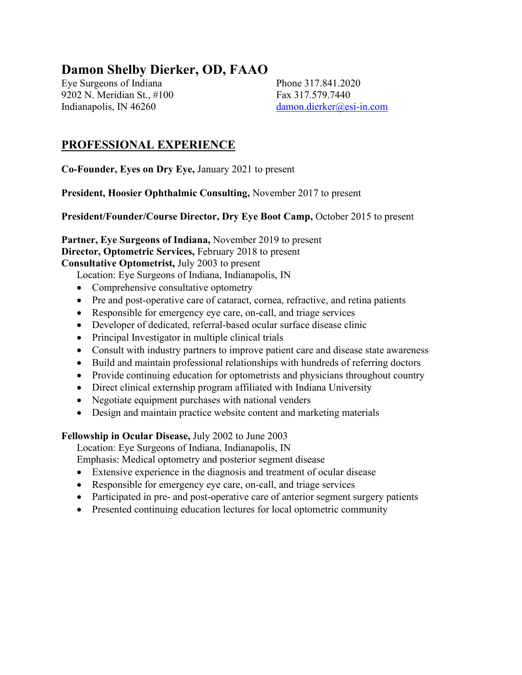# **Damon Shelby Dierker, OD, FAAO**

Eye Surgeons of Indiana Phone 317.841.2020 9202 N. Meridian St., #100 Fax 317.579.7440 Indianapolis, IN 46260 [damon.dierker@esi-in.com](mailto:damon.dierker@esi-in.com)

#### **PROFESSIONAL EXPERIENCE**

**Co-Founder, Eyes on Dry Eye,** January 2021 to present

**President, Hoosier Ophthalmic Consulting,** November 2017 to present

**President/Founder/Course Director, Dry Eye Boot Camp,** October 2015 to present

**Partner, Eye Surgeons of Indiana,** November 2019 to present **Director, Optometric Services,** February 2018 to present **Consultative Optometrist,** July 2003 to present

Location: Eye Surgeons of Indiana, Indianapolis, IN

- Comprehensive consultative optometry
- Pre and post-operative care of cataract, cornea, refractive, and retina patients
- Responsible for emergency eye care, on-call, and triage services
- Developer of dedicated, referral-based ocular surface disease clinic
- Principal Investigator in multiple clinical trials
- Consult with industry partners to improve patient care and disease state awareness
- Build and maintain professional relationships with hundreds of referring doctors
- Provide continuing education for optometrists and physicians throughout country
- Direct clinical externship program affiliated with Indiana University
- Negotiate equipment purchases with national venders
- Design and maintain practice website content and marketing materials

#### **Fellowship in Ocular Disease,** July 2002 to June 2003

Location: Eye Surgeons of Indiana, Indianapolis, IN

Emphasis: Medical optometry and posterior segment disease

- Extensive experience in the diagnosis and treatment of ocular disease
- Responsible for emergency eye care, on-call, and triage services
- Participated in pre- and post-operative care of anterior segment surgery patients
- Presented continuing education lectures for local optometric community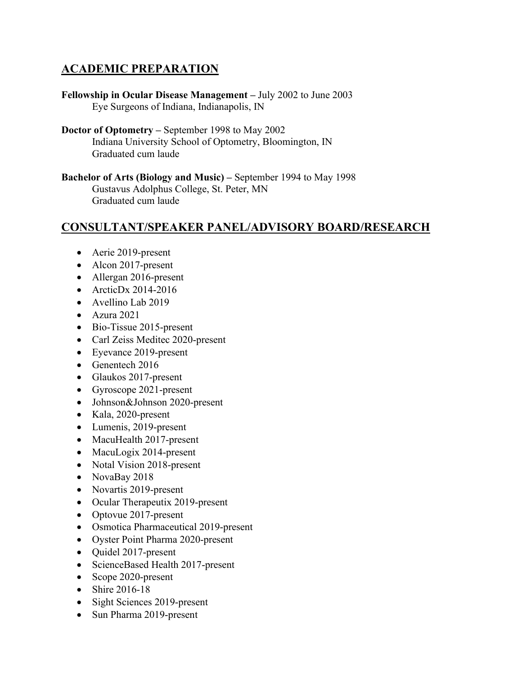# **ACADEMIC PREPARATION**

- **Fellowship in Ocular Disease Management –** July 2002 to June 2003 Eye Surgeons of Indiana, Indianapolis, IN
- **Doctor of Optometry –** September 1998 to May 2002 Indiana University School of Optometry, Bloomington, IN Graduated cum laude
- **Bachelor of Arts (Biology and Music) –** September 1994 to May 1998 Gustavus Adolphus College, St. Peter, MN Graduated cum laude

#### **CONSULTANT/SPEAKER PANEL/ADVISORY BOARD/RESEARCH**

- Aerie 2019-present
- Alcon 2017-present
- Allergan 2016-present
- ArcticDx 2014-2016
- Avellino Lab 2019
- Azura 2021
- Bio-Tissue 2015-present
- Carl Zeiss Meditec 2020-present
- Eyevance 2019-present
- Genentech 2016
- Glaukos 2017-present
- Gyroscope 2021-present
- Johnson&Johnson 2020-present
- Kala, 2020-present
- Lumenis, 2019-present
- MacuHealth 2017-present
- MacuLogix 2014-present
- Notal Vision 2018-present
- NovaBay 2018
- Novartis 2019-present
- Ocular Therapeutix 2019-present
- Optovue 2017-present
- Osmotica Pharmaceutical 2019-present
- Oyster Point Pharma 2020-present
- Quidel 2017-present
- ScienceBased Health 2017-present
- Scope 2020-present
- Shire 2016-18
- Sight Sciences 2019-present
- Sun Pharma 2019-present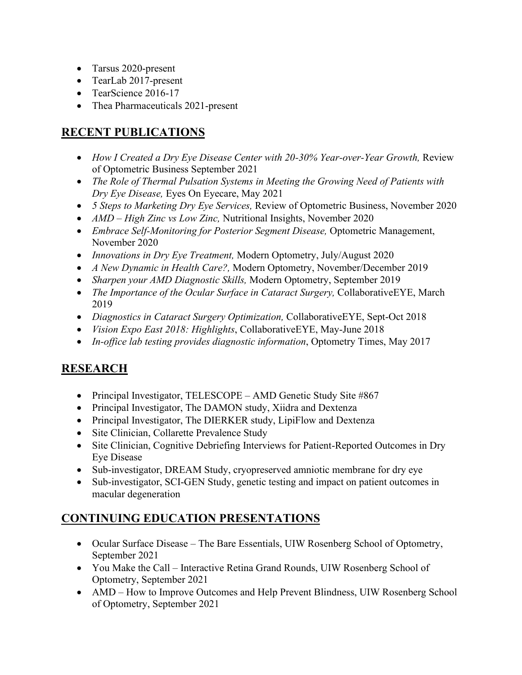- Tarsus 2020-present
- TearLab 2017-present
- TearScience 2016-17
- Thea Pharmaceuticals 2021-present

# **RECENT PUBLICATIONS**

- *How I Created a Dry Eye Disease Center with 20-30% Year-over-Year Growth, Review* of Optometric Business September 2021
- *The Role of Thermal Pulsation Systems in Meeting the Growing Need of Patients with Dry Eye Disease,* Eyes On Eyecare, May 2021
- *5 Steps to Marketing Dry Eye Services,* Review of Optometric Business, November 2020
- *AMD High Zinc vs Low Zinc*, Nutritional Insights, November 2020
- *Embrace Self-Monitoring for Posterior Segment Disease,* Optometric Management, November 2020
- *Innovations in Dry Eye Treatment,* Modern Optometry, July/August 2020
- *A New Dynamic in Health Care?,* Modern Optometry, November/December 2019
- *Sharpen your AMD Diagnostic Skills,* Modern Optometry, September 2019
- *The Importance of the Ocular Surface in Cataract Surgery,* CollaborativeEYE, March 2019
- *Diagnostics in Cataract Surgery Optimization,* CollaborativeEYE, Sept-Oct 2018
- *Vision Expo East 2018: Highlights*, CollaborativeEYE, May-June 2018
- *In-office lab testing provides diagnostic information*, Optometry Times, May 2017

# **RESEARCH**

- Principal Investigator, TELESCOPE AMD Genetic Study Site #867
- Principal Investigator, The DAMON study, Xiidra and Dextenza
- Principal Investigator, The DIERKER study, LipiFlow and Dextenza
- Site Clinician, Collarette Prevalence Study
- Site Clinician, Cognitive Debriefing Interviews for Patient-Reported Outcomes in Dry Eye Disease
- Sub-investigator, DREAM Study, cryopreserved amniotic membrane for dry eye
- Sub-investigator, SCI-GEN Study, genetic testing and impact on patient outcomes in macular degeneration

# **CONTINUING EDUCATION PRESENTATIONS**

- Ocular Surface Disease The Bare Essentials, UIW Rosenberg School of Optometry, September 2021
- You Make the Call Interactive Retina Grand Rounds, UIW Rosenberg School of Optometry, September 2021
- AMD How to Improve Outcomes and Help Prevent Blindness, UIW Rosenberg School of Optometry, September 2021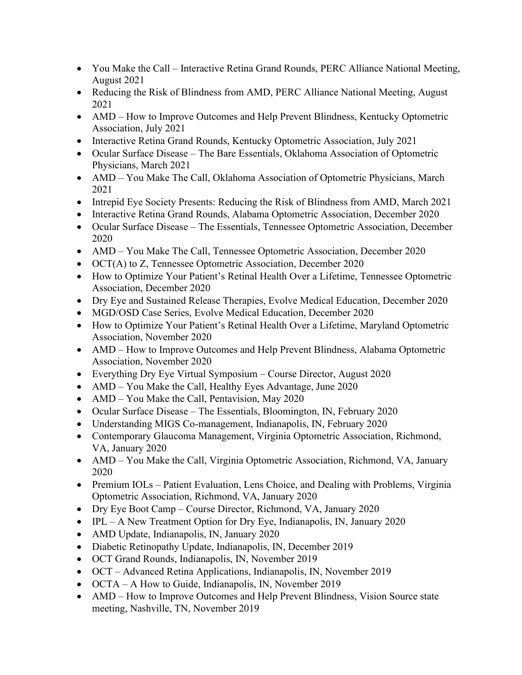- You Make the Call Interactive Retina Grand Rounds, PERC Alliance National Meeting, August 2021
- Reducing the Risk of Blindness from AMD, PERC Alliance National Meeting, August 2021
- AMD How to Improve Outcomes and Help Prevent Blindness, Kentucky Optometric Association, July 2021
- Interactive Retina Grand Rounds, Kentucky Optometric Association, July 2021
- Ocular Surface Disease The Bare Essentials, Oklahoma Association of Optometric Physicians, March 2021
- AMD You Make The Call, Oklahoma Association of Optometric Physicians, March 2021
- Intrepid Eye Society Presents: Reducing the Risk of Blindness from AMD, March 2021
- Interactive Retina Grand Rounds, Alabama Optometric Association, December 2020
- Ocular Surface Disease The Essentials, Tennessee Optometric Association, December 2020
- AMD You Make The Call, Tennessee Optometric Association, December 2020
- OCT(A) to Z, Tennessee Optometric Association, December 2020
- How to Optimize Your Patient's Retinal Health Over a Lifetime, Tennessee Optometric Association, December 2020
- Dry Eye and Sustained Release Therapies, Evolve Medical Education, December 2020
- MGD/OSD Case Series, Evolve Medical Education, December 2020
- How to Optimize Your Patient's Retinal Health Over a Lifetime, Maryland Optometric Association, November 2020
- AMD How to Improve Outcomes and Help Prevent Blindness, Alabama Optometric Association, November 2020
- Everything Dry Eye Virtual Symposium Course Director, August 2020
- AMD You Make the Call, Healthy Eyes Advantage, June 2020
- AMD You Make the Call, Pentavision, May 2020
- Ocular Surface Disease The Essentials, Bloomington, IN, February 2020
- Understanding MIGS Co-management, Indianapolis, IN, February 2020
- Contemporary Glaucoma Management, Virginia Optometric Association, Richmond, VA, January 2020
- AMD You Make the Call, Virginia Optometric Association, Richmond, VA, January 2020
- Premium IOLs Patient Evaluation, Lens Choice, and Dealing with Problems, Virginia Optometric Association, Richmond, VA, January 2020
- Dry Eye Boot Camp Course Director, Richmond, VA, January 2020
- IPL A New Treatment Option for Dry Eye, Indianapolis, IN, January 2020
- AMD Update, Indianapolis, IN, January 2020
- Diabetic Retinopathy Update, Indianapolis, IN, December 2019
- OCT Grand Rounds, Indianapolis, IN, November 2019
- OCT Advanced Retina Applications, Indianapolis, IN, November 2019
- OCTA A How to Guide, Indianapolis, IN, November 2019
- AMD How to Improve Outcomes and Help Prevent Blindness, Vision Source state meeting, Nashville, TN, November 2019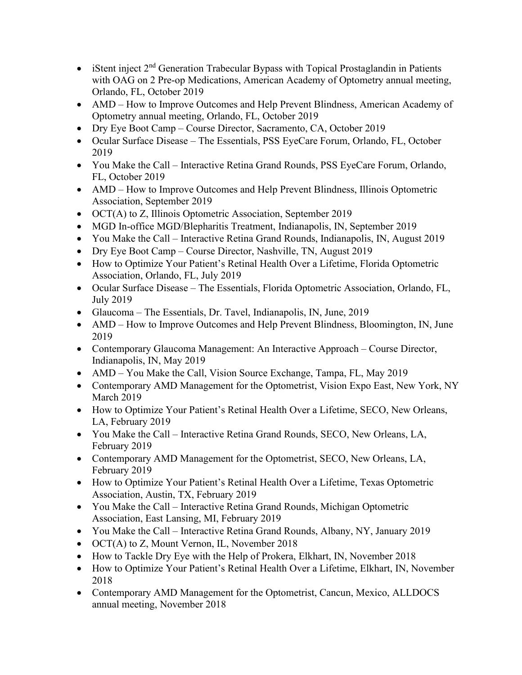- iStent inject  $2<sup>nd</sup>$  Generation Trabecular Bypass with Topical Prostaglandin in Patients with OAG on 2 Pre-op Medications, American Academy of Optometry annual meeting, Orlando, FL, October 2019
- AMD How to Improve Outcomes and Help Prevent Blindness, American Academy of Optometry annual meeting, Orlando, FL, October 2019
- Dry Eye Boot Camp Course Director, Sacramento, CA, October 2019
- Ocular Surface Disease The Essentials, PSS EyeCare Forum, Orlando, FL, October 2019
- You Make the Call Interactive Retina Grand Rounds, PSS EyeCare Forum, Orlando, FL, October 2019
- AMD How to Improve Outcomes and Help Prevent Blindness, Illinois Optometric Association, September 2019
- OCT(A) to Z, Illinois Optometric Association, September 2019
- MGD In-office MGD/Blepharitis Treatment, Indianapolis, IN, September 2019
- You Make the Call Interactive Retina Grand Rounds, Indianapolis, IN, August 2019
- Dry Eye Boot Camp Course Director, Nashville, TN, August 2019
- How to Optimize Your Patient's Retinal Health Over a Lifetime, Florida Optometric Association, Orlando, FL, July 2019
- Ocular Surface Disease The Essentials, Florida Optometric Association, Orlando, FL, July 2019
- Glaucoma The Essentials, Dr. Tavel, Indianapolis, IN, June, 2019
- AMD How to Improve Outcomes and Help Prevent Blindness, Bloomington, IN, June 2019
- Contemporary Glaucoma Management: An Interactive Approach Course Director, Indianapolis, IN, May 2019
- AMD You Make the Call, Vision Source Exchange, Tampa, FL, May 2019
- Contemporary AMD Management for the Optometrist, Vision Expo East, New York, NY March 2019
- How to Optimize Your Patient's Retinal Health Over a Lifetime, SECO, New Orleans, LA, February 2019
- You Make the Call Interactive Retina Grand Rounds, SECO, New Orleans, LA, February 2019
- Contemporary AMD Management for the Optometrist, SECO, New Orleans, LA, February 2019
- How to Optimize Your Patient's Retinal Health Over a Lifetime, Texas Optometric Association, Austin, TX, February 2019
- You Make the Call Interactive Retina Grand Rounds, Michigan Optometric Association, East Lansing, MI, February 2019
- You Make the Call Interactive Retina Grand Rounds, Albany, NY, January 2019
- OCT(A) to Z, Mount Vernon, IL, November 2018
- How to Tackle Dry Eye with the Help of Prokera, Elkhart, IN, November 2018
- How to Optimize Your Patient's Retinal Health Over a Lifetime, Elkhart, IN, November 2018
- Contemporary AMD Management for the Optometrist, Cancun, Mexico, ALLDOCS annual meeting, November 2018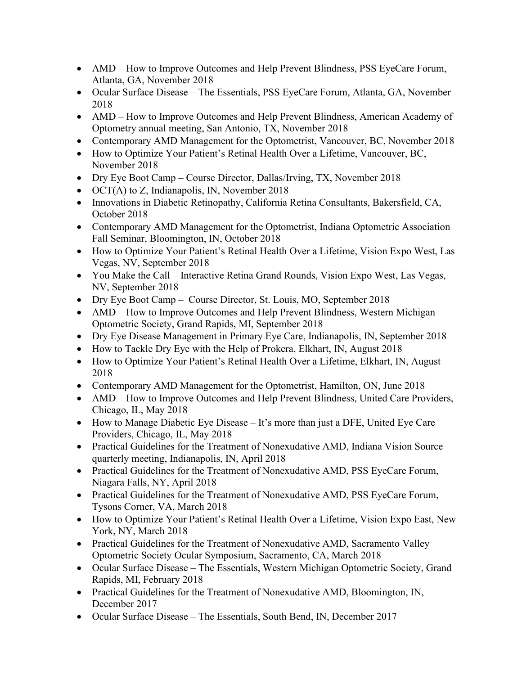- AMD How to Improve Outcomes and Help Prevent Blindness, PSS EyeCare Forum, Atlanta, GA, November 2018
- Ocular Surface Disease The Essentials, PSS EyeCare Forum, Atlanta, GA, November 2018
- AMD How to Improve Outcomes and Help Prevent Blindness, American Academy of Optometry annual meeting, San Antonio, TX, November 2018
- Contemporary AMD Management for the Optometrist, Vancouver, BC, November 2018
- How to Optimize Your Patient's Retinal Health Over a Lifetime, Vancouver, BC, November 2018
- Dry Eye Boot Camp Course Director, Dallas/Irving, TX, November 2018
- OCT(A) to Z, Indianapolis, IN, November 2018
- Innovations in Diabetic Retinopathy, California Retina Consultants, Bakersfield, CA, October 2018
- Contemporary AMD Management for the Optometrist, Indiana Optometric Association Fall Seminar, Bloomington, IN, October 2018
- How to Optimize Your Patient's Retinal Health Over a Lifetime, Vision Expo West, Las Vegas, NV, September 2018
- You Make the Call Interactive Retina Grand Rounds, Vision Expo West, Las Vegas, NV, September 2018
- Dry Eye Boot Camp Course Director, St. Louis, MO, September 2018
- AMD How to Improve Outcomes and Help Prevent Blindness, Western Michigan Optometric Society, Grand Rapids, MI, September 2018
- Dry Eye Disease Management in Primary Eye Care, Indianapolis, IN, September 2018
- How to Tackle Dry Eye with the Help of Prokera, Elkhart, IN, August 2018
- How to Optimize Your Patient's Retinal Health Over a Lifetime, Elkhart, IN, August 2018
- Contemporary AMD Management for the Optometrist, Hamilton, ON, June 2018
- AMD How to Improve Outcomes and Help Prevent Blindness, United Care Providers, Chicago, IL, May 2018
- How to Manage Diabetic Eye Disease It's more than just a DFE, United Eye Care Providers, Chicago, IL, May 2018
- Practical Guidelines for the Treatment of Nonexudative AMD, Indiana Vision Source quarterly meeting, Indianapolis, IN, April 2018
- Practical Guidelines for the Treatment of Nonexudative AMD, PSS EyeCare Forum, Niagara Falls, NY, April 2018
- Practical Guidelines for the Treatment of Nonexudative AMD, PSS EyeCare Forum, Tysons Corner, VA, March 2018
- How to Optimize Your Patient's Retinal Health Over a Lifetime, Vision Expo East, New York, NY, March 2018
- Practical Guidelines for the Treatment of Nonexudative AMD, Sacramento Valley Optometric Society Ocular Symposium, Sacramento, CA, March 2018
- Ocular Surface Disease The Essentials, Western Michigan Optometric Society, Grand Rapids, MI, February 2018
- Practical Guidelines for the Treatment of Nonexudative AMD, Bloomington, IN, December 2017
- Ocular Surface Disease The Essentials, South Bend, IN, December 2017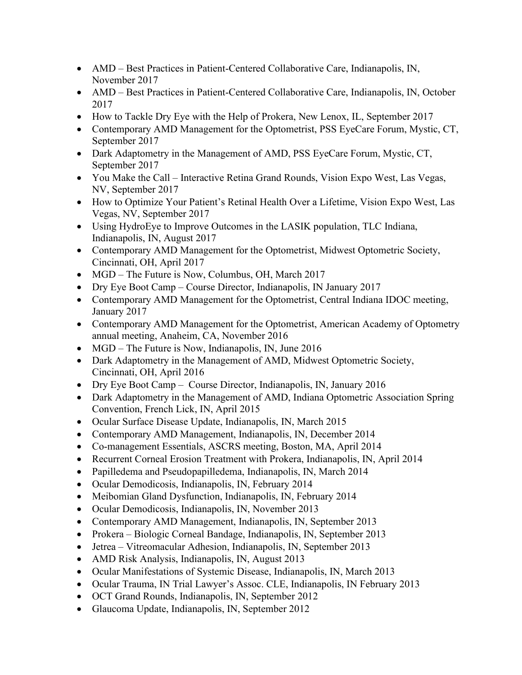- AMD Best Practices in Patient-Centered Collaborative Care, Indianapolis, IN, November 2017
- AMD Best Practices in Patient-Centered Collaborative Care, Indianapolis, IN, October 2017
- How to Tackle Dry Eye with the Help of Prokera, New Lenox, IL, September 2017
- Contemporary AMD Management for the Optometrist, PSS EyeCare Forum, Mystic, CT, September 2017
- Dark Adaptometry in the Management of AMD, PSS EyeCare Forum, Mystic, CT, September 2017
- You Make the Call Interactive Retina Grand Rounds, Vision Expo West, Las Vegas, NV, September 2017
- How to Optimize Your Patient's Retinal Health Over a Lifetime, Vision Expo West, Las Vegas, NV, September 2017
- Using HydroEye to Improve Outcomes in the LASIK population, TLC Indiana, Indianapolis, IN, August 2017
- Contemporary AMD Management for the Optometrist, Midwest Optometric Society, Cincinnati, OH, April 2017
- MGD The Future is Now, Columbus, OH, March 2017
- Dry Eye Boot Camp Course Director, Indianapolis, IN January 2017
- Contemporary AMD Management for the Optometrist, Central Indiana IDOC meeting, January 2017
- Contemporary AMD Management for the Optometrist, American Academy of Optometry annual meeting, Anaheim, CA, November 2016
- MGD The Future is Now, Indianapolis, IN, June 2016
- Dark Adaptometry in the Management of AMD, Midwest Optometric Society, Cincinnati, OH, April 2016
- Dry Eye Boot Camp Course Director, Indianapolis, IN, January 2016
- Dark Adaptometry in the Management of AMD, Indiana Optometric Association Spring Convention, French Lick, IN, April 2015
- Ocular Surface Disease Update, Indianapolis, IN, March 2015
- Contemporary AMD Management, Indianapolis, IN, December 2014
- Co-management Essentials, ASCRS meeting, Boston, MA, April 2014
- Recurrent Corneal Erosion Treatment with Prokera, Indianapolis, IN, April 2014
- Papilledema and Pseudopapilledema, Indianapolis, IN, March 2014
- Ocular Demodicosis, Indianapolis, IN, February 2014
- Meibomian Gland Dysfunction, Indianapolis, IN, February 2014
- Ocular Demodicosis, Indianapolis, IN, November 2013
- Contemporary AMD Management, Indianapolis, IN, September 2013
- Prokera Biologic Corneal Bandage, Indianapolis, IN, September 2013
- Jetrea Vitreomacular Adhesion, Indianapolis, IN, September 2013
- AMD Risk Analysis, Indianapolis, IN, August 2013
- Ocular Manifestations of Systemic Disease, Indianapolis, IN, March 2013
- Ocular Trauma, IN Trial Lawyer's Assoc. CLE, Indianapolis, IN February 2013
- OCT Grand Rounds, Indianapolis, IN, September 2012
- Glaucoma Update, Indianapolis, IN, September 2012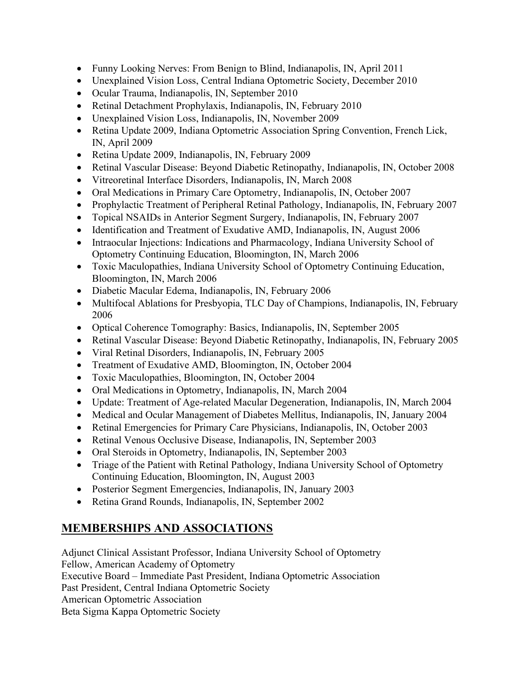- Funny Looking Nerves: From Benign to Blind, Indianapolis, IN, April 2011
- Unexplained Vision Loss, Central Indiana Optometric Society, December 2010
- Ocular Trauma, Indianapolis, IN, September 2010
- Retinal Detachment Prophylaxis, Indianapolis, IN, February 2010
- Unexplained Vision Loss, Indianapolis, IN, November 2009
- Retina Update 2009, Indiana Optometric Association Spring Convention, French Lick, IN, April 2009
- Retina Update 2009, Indianapolis, IN, February 2009
- Retinal Vascular Disease: Beyond Diabetic Retinopathy, Indianapolis, IN, October 2008
- Vitreoretinal Interface Disorders, Indianapolis, IN, March 2008
- Oral Medications in Primary Care Optometry, Indianapolis, IN, October 2007
- Prophylactic Treatment of Peripheral Retinal Pathology, Indianapolis, IN, February 2007
- Topical NSAIDs in Anterior Segment Surgery, Indianapolis, IN, February 2007
- Identification and Treatment of Exudative AMD, Indianapolis, IN, August 2006
- Intraocular Injections: Indications and Pharmacology, Indiana University School of Optometry Continuing Education, Bloomington, IN, March 2006
- Toxic Maculopathies, Indiana University School of Optometry Continuing Education, Bloomington, IN, March 2006
- Diabetic Macular Edema, Indianapolis, IN, February 2006
- Multifocal Ablations for Presbyopia, TLC Day of Champions, Indianapolis, IN, February 2006
- Optical Coherence Tomography: Basics, Indianapolis, IN, September 2005
- Retinal Vascular Disease: Beyond Diabetic Retinopathy, Indianapolis, IN, February 2005
- Viral Retinal Disorders, Indianapolis, IN, February 2005
- Treatment of Exudative AMD, Bloomington, IN, October 2004
- Toxic Maculopathies, Bloomington, IN, October 2004
- Oral Medications in Optometry, Indianapolis, IN, March 2004
- Update: Treatment of Age-related Macular Degeneration, Indianapolis, IN, March 2004
- Medical and Ocular Management of Diabetes Mellitus, Indianapolis, IN, January 2004
- Retinal Emergencies for Primary Care Physicians, Indianapolis, IN, October 2003
- Retinal Venous Occlusive Disease, Indianapolis, IN, September 2003
- Oral Steroids in Optometry, Indianapolis, IN, September 2003
- Triage of the Patient with Retinal Pathology, Indiana University School of Optometry Continuing Education, Bloomington, IN, August 2003
- Posterior Segment Emergencies, Indianapolis, IN, January 2003
- Retina Grand Rounds, Indianapolis, IN, September 2002

# **MEMBERSHIPS AND ASSOCIATIONS**

Adjunct Clinical Assistant Professor, Indiana University School of Optometry Fellow, American Academy of Optometry Executive Board – Immediate Past President, Indiana Optometric Association Past President, Central Indiana Optometric Society American Optometric Association Beta Sigma Kappa Optometric Society